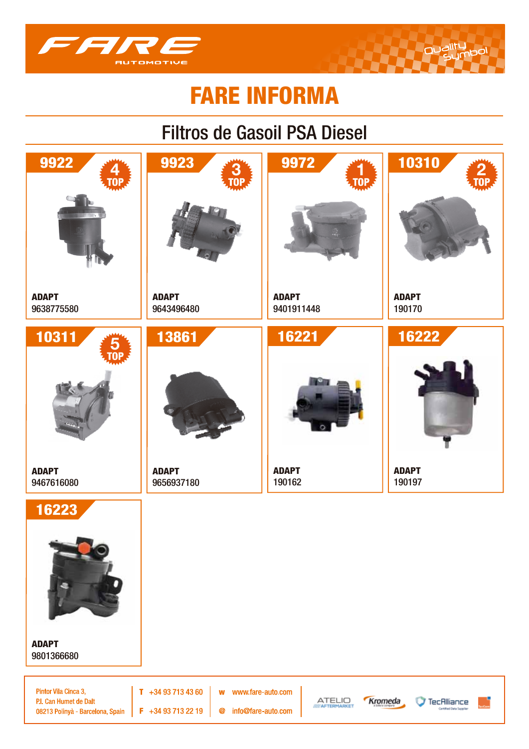

## Filtros de Gasoil PSA Diesel



Pintor Vila Cinca 3, P.I. Can Humet de Dalt 08213 Polinyà - Barcelona, Spain

 $T + 34937134360$  $\mathbf{w}$  $F$  +34 93 713 22 19  $\circledcirc$ 

www.fare-auto.com

info@fare-auto.com





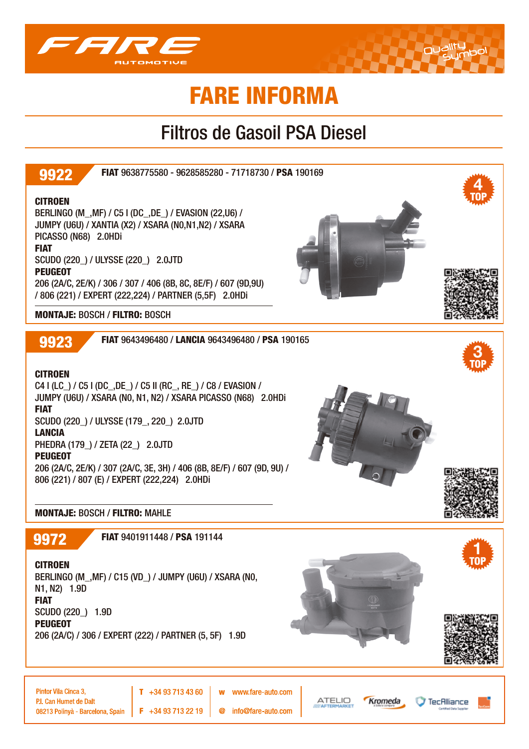

### Filtros de Gasoil PSA Diesel

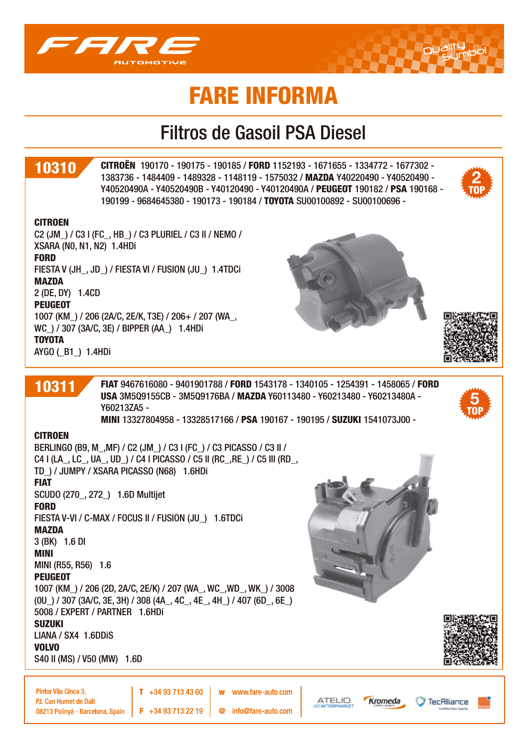

### Filtros de Gasoil PSA Diesel

### 10310

CITROËN 190170 - 190175 - 190185 / FORD 1152193 - 1671655 - 1334772 - 1677302 - 1383736 - 1484409 - 1489328 - 1148119 - 1575032 / MAZDA Y40220490 - Y40520490 - Y40520490A - Y40520490B - Y40120490 - Y40120490A / PEUGEOT 190182 / PSA 190168 - 190199 - 9684645380 - 190173 - 190184 / TOYOTA SU00100892 - SU00100696 -

#### **CITROEN**

C2 (JM\_) / C3 I (FC\_, HB\_) / C3 PLURIEL / C3 II / NEMO / XSARA (N0, N1, N2) 1.4HDi FORD FIESTA V (JH\_, JD\_) / FIESTA VI / FUSION (JU\_) 1.4TDCi MAZDA 2 (DE, DY) 1.4CD **PEUGEOT** 1007 (KM\_) / 206 (2A/C, 2E/K, T3E) / 206+ / 207 (WA\_, WC  $)/$  307 (3A/C, 3E) / BIPPER (AA ) 1.4HDi TOYOTA AYGO (\_B1\_) 1.4HDi





**5**

**2**

FIAT 9467616080 - 9401901788 / FORD 1543178 - 1340105 - 1254391 - 1458065 / FORD USA 3M5Q9155CB - 3M5Q9176BA / MAZDA Y60113480 - Y60213480 - Y60213480A - Y60213ZA5 - MINI 13327804958 - 13328517166 / PSA 190167 - 190195 / SUZUKI 1541073J00 -

#### **CITROEN**

10311

BERLINGO (B9, M\_,MF) / C2 (JM\_) / C3 I (FC\_) / C3 PICASSO / C3 II / C4 I (LA\_, LC\_, UA\_, UD\_) / C4 I PICASSO / C5 II (RC\_,RE\_) / C5 III (RD\_, TD\_) / JUMPY / XSARA PICASSO (N68) 1.6HDi FIAT SCUDO (270\_, 272\_) 1.6D Multijet FORD FIESTA V-VI / C-MAX / FOCUS II / FUSION (JU\_) 1.6TDCi MAZDA 3 (BK) 1.6 DI MINI MINI (R55, R56) 1.6 PEUGEOT 1007 (KM\_) / 206 (2D, 2A/C, 2E/K) / 207 (WA\_, WC\_,WD\_, WK\_) / 3008 (0U\_) / 307 (3A/C, 3E, 3H) / 308 (4A\_, 4C\_, 4E\_, 4H\_) / 407 (6D\_, 6E\_) 5008 / EXPERT / PARTNER 1.6HDi SUZUKI LIANA / SX4 1.6DDiS VOLVO S40 II (MS) / V50 (MW) 1.6D



TecAlliance

Pintor Vila Cinca 3. P.I. Can Humet de Dalt 08213 Polinyà - Barcelona, Spain

 $F + 34937132219$  $\omega$ 

 $T + 34937134360$ 

www.fare-auto.com w info@fare-auto.com



Kromeda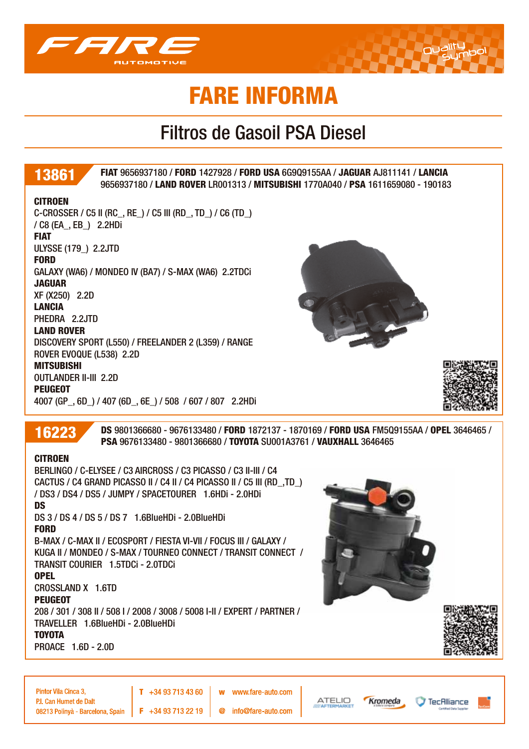

### Filtros de Gasoil PSA Diesel



CROSSLAND X 1.6TD

**PEUGEOT** 

208 / 301 / 308 II / 508 I / 2008 / 3008 / 5008 I-II / EXPERT / PARTNER / TRAVELLER 1.6BlueHDi - 2.0BlueHDi

 $T + 34937134360$ 

#### TOYOTA

PROACE 1.6D - 2.0D

TecAlliance

P.I. Can Humet de Dalt 08213 Polinvà - Barcelona, Spain

Pintor Vila Cinca 3.

 $F + 34937132219$  $\omega$ 

w

info@fare-auto.com

www.fare-auto.com